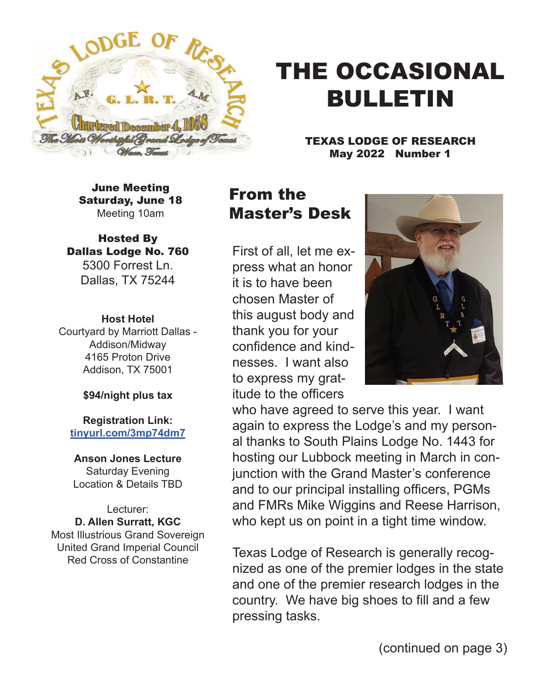

# THE OCCASIONAL BULLETIN

TEXAS LODGE OF RESEARCH May 2022 Number 1

June Meeting Saturday, June 18 Meeting 10am

Hosted By Dallas Lodge No. 760 5300 Forrest Ln. Dallas, TX 75244

**Host Hotel** Courtyard by Marriott Dallas - Addison/Midway 4165 Proton Drive Addison, TX 75001

#### **\$94/night plus tax**

**Registration Link: tinyurl.com/3mp74dm7**

**Anson Jones Lecture** Saturday Evening Location & Details TBD

Lecturer: **D. Allen Surratt, KGC** Most Illustrious Grand Sovereign United Grand Imperial Council Red Cross of Constantine

## From the Master's Desk

First of all, let me express what an honor it is to have been chosen Master of this august body and thank you for your confidence and kindnesses. I want also to express my gratitude to the officers



who have agreed to serve this year. I want again to express the Lodge's and my personal thanks to South Plains Lodge No. 1443 for hosting our Lubbock meeting in March in conjunction with the Grand Master's conference and to our principal installing officers, PGMs and FMRs Mike Wiggins and Reese Harrison, who kept us on point in a tight time window.

Texas Lodge of Research is generally recognized as one of the premier lodges in the state and one of the premier research lodges in the country. We have big shoes to fill and a few pressing tasks.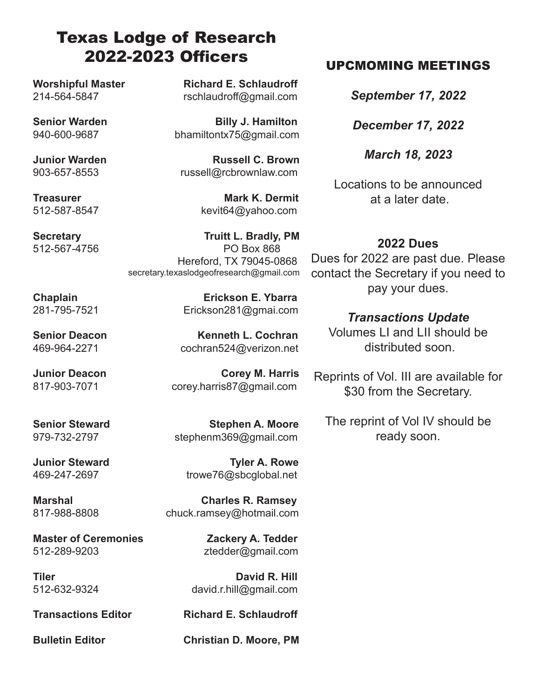## Texas Lodge of Research 2022-2023 Officers

512-567-4756

Worshipful Master **Richard E. Schlaudroff** 214-564-5847 rschlaudroff@gmail.com

**Senior Warden Billy J. Hamilton** 940-600-9687 bhamiltontx75@gmail.com

**Junior Warden C. Brown** 903-657-8553 russell@rcbrownlaw.com

512-587-8547 kevit64@yahoo.com

**Secretary 19th Secretary 19th Secretary 19th Secretary 19th Secretary 19th Secretary 19th Secretary 19th Secret<br>
PO Box 868**  Hereford, TX 79045-0868 secretary.texaslodgeofresearch@gmail.com

**Senior Deacon** Kenneth L. Cochran 469-964-2271 cochran524@verizon.net

**Junior Deacon** Corey M. Harris 817-903-7071 corey.harris87@gmail.com

**Master of Ceremonies 2ackery A. Tedder** 512-289-9203 ztedder@gmail.com

**Treasurer Mark K. Dermit** 

**Chaplain Erickson E. Ybarra** 281-795-7521 Erickson281@gmai.com

**Senior Steward Stephen A. Moore** 979-732-2797 stephenm369@gmail.com

**Junior Steward Community Community Community Community Community Community Community Community Community Community** 469-247-2697 trowe76@sbcglobal.net

**Marshal Charles R. Ramsey** 817-988-8808chuck.ramsey@hotmail.com

**Tiler Community Community Community David R. Hill** 512-632-9324 david.r.hill@gmail.com

**Transactions Editor Richard E. Schlaudroff** 

**Bulletin Editor Christian D. Moore, PM**

### UPCMOMING MEETINGS

*September 17, 2022*

*December 17, 2022*

*March 18, 2023*

Locations to be announced at a later date.

**2022 Dues** Dues for 2022 are past due. Please contact the Secretary if you need to pay your dues.

> *Transactions Update* Volumes LI and LII should be distributed soon.

Reprints of Vol. III are available for \$30 from the Secretary.

The reprint of Vol IV should be ready soon.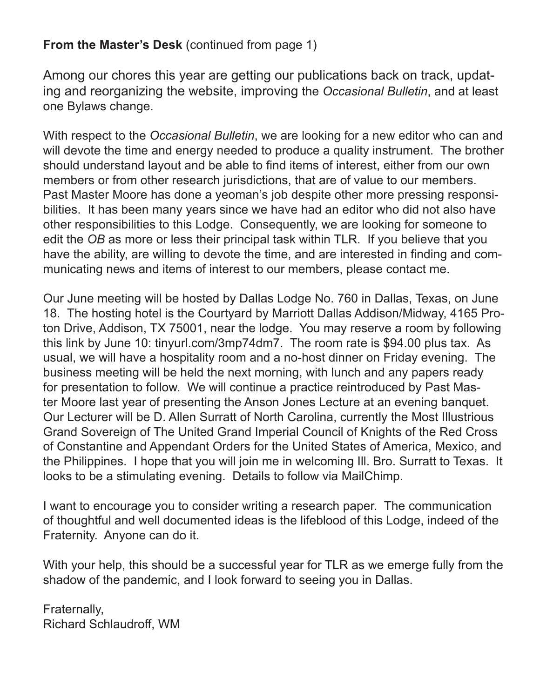### **From the Master's Desk (continued from page 1)**

Among our chores this year are getting our publications back on track, updating and reorganizing the website, improving the *Occasional Bulletin*, and at least one Bylaws change.

With respect to the *Occasional Bulletin*, we are looking for a new editor who can and will devote the time and energy needed to produce a quality instrument. The brother should understand layout and be able to find items of interest, either from our own members or from other research jurisdictions, that are of value to our members. Past Master Moore has done a yeoman's job despite other more pressing responsibilities. It has been many years since we have had an editor who did not also have other responsibilities to this Lodge. Consequently, we are looking for someone to edit the *OB* as more or less their principal task within TLR. If you believe that you have the ability, are willing to devote the time, and are interested in finding and communicating news and items of interest to our members, please contact me.

Our June meeting will be hosted by Dallas Lodge No. 760 in Dallas, Texas, on June 18. The hosting hotel is the Courtyard by Marriott Dallas Addison/Midway, 4165 Proton Drive, Addison, TX 75001, near the lodge. You may reserve a room by following this link by June 10: tinyurl.com/3mp74dm7. The room rate is \$94.00 plus tax. As usual, we will have a hospitality room and a no-host dinner on Friday evening. The business meeting will be held the next morning, with lunch and any papers ready for presentation to follow. We will continue a practice reintroduced by Past Master Moore last year of presenting the Anson Jones Lecture at an evening banquet. Our Lecturer will be D. Allen Surratt of North Carolina, currently the Most Illustrious Grand Sovereign of The United Grand Imperial Council of Knights of the Red Cross of Constantine and Appendant Orders for the United States of America, Mexico, and the Philippines. I hope that you will join me in welcoming Ill. Bro. Surratt to Texas. It looks to be a stimulating evening. Details to follow via MailChimp.

I want to encourage you to consider writing a research paper. The communication of thoughtful and well documented ideas is the lifeblood of this Lodge, indeed of the Fraternity. Anyone can do it.

With your help, this should be a successful year for TLR as we emerge fully from the shadow of the pandemic, and I look forward to seeing you in Dallas.

Fraternally, Richard Schlaudroff, WM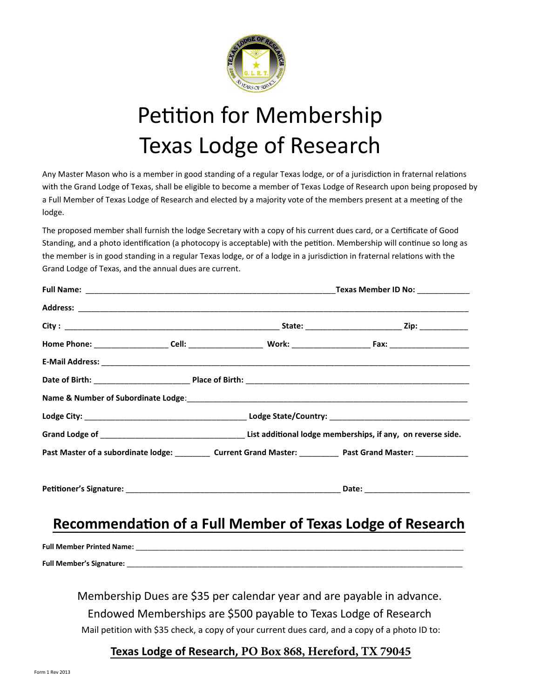# W Y Y } v ( } O ED u O E • Z ] %

νÇD •šOED •}ν Á[Z•}u u OE[vP} •š v]νΡ }QEPp oEE Æo ∳Ρ }UCE( iµOE]• ] wŸQ&E oE eE Y }ν•  $\hat{A}$ ]šsZ 'OE v>} P}(dÆ ●Zloo oP]] o š}}u uu OE(dÆ>)] P}(Z ● OEµ%Zo}v]vP ‰OE}&o}• & µoo DOEµ(d Æ >) P }(Z • OE ZZ o š Ç u i}OEÀ)ššÇ )šZZ u u ®25E•švš u Ÿv P( )šZ  $o$ } P  $X$ 

dZ%GE}‰}u• u OEZo(quOExšZ\*eZ}P^ OE šÁOFZC) }‰  $\tilde{R}Z$  • µOEOE µv • OE}OE OEŸ. š }('}} ^š v P|tUv ‰Z}βš}vŸ. Ÿ}v‰Z~}š}}‰Ç P‰š o • Á]šZ šXZDu‰OEŸ∙ŸZ}]‰ Á]oo }vŸvµ •}o}vP šZu u OE[∙]vP} •š v]vP ]WPp oEEÆo.}P }LOE( o }P ]v iµOE]• ] wŸ0@E §] oEoeEŸ}v• Á]šZ šZ 'Œ v>} P } (d Æ •vU šZ v v µo µ • Œ µŒ Œ v š X

'Œ v>}P}(zzzzzzzzzzzzzzzzzzzzzzzzzzzzzzzzzbel@vzy]2022;202920 u u Œ•Z]%G+UJ}v+CE+ÀXCE W  $\bullet$ D • š  $\frac{1}{2}$  (CE • µ  $\cdot$  CE  $\cdot$  V  $\frac{3}{2}$  z  $\frac{1}{2}$  z  $\frac{1}{2}$  z  $\frac{1}{2}$  CE  $\frac{1}{2}$  CE  $\cdot$  VD •  $\cdot$   $\frac{1}{2}$   $\frac{1}{2}$   $\frac{1}{2}$   $\frac{1}{2}$   $\frac{1}{2}$   $\frac{1}{2}$   $\frac{1}{2}$   $\frac{1}{2}$   $\frac{1}{2}$   $\frac{1}{2}$ 

#### Z }uu v <u>Ÿ}v }( & µoodDÆu • Œ }}P }(</u> Z • Œ

D u OE ∙ Z]‰ OEµïñ ‰ OE o v OE C QOE] v v À OEv ‰ C D ]‰ š ] šÁj]}švZIñ Z IU } {Q%}QIOE µQDEOE v SOE U }‰}Q % z } šš}}W

 $d \mathbb{E} \cdot > (P \cdot \underline{CP} \cdot \underline{CP})$  =  $E = 100$   $H = P$  \ FSFGPSE 59